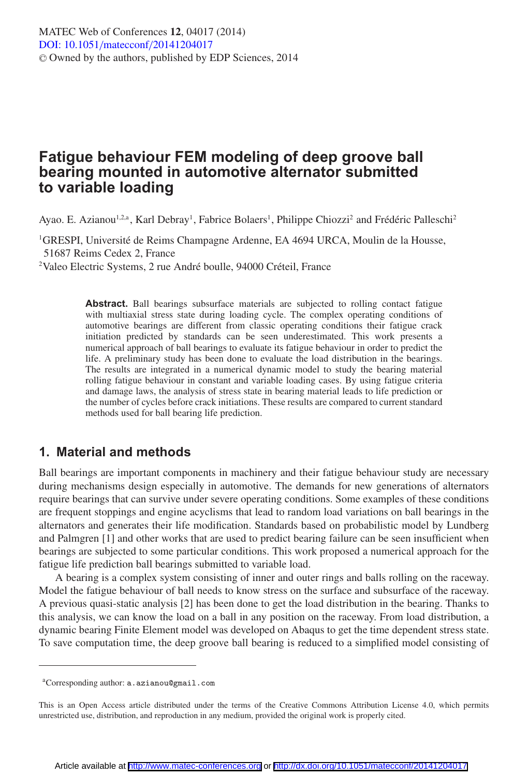## **Fatigue behaviour FEM modeling of deep groove ball bearing mounted in automotive alternator submitted to variable loading**

Ayao. E. Azianou<sup>1,2,a</sup>, Karl Debray<sup>1</sup>, Fabrice Bolaers<sup>1</sup>, Philippe Chiozzi<sup>2</sup> and Frédéric Palleschi<sup>2</sup>

<sup>1</sup>GRESPI, Université de Reims Champagne Ardenne, EA 4694 URCA, Moulin de la Housse, 51687 Reims Cedex 2, France

2 Valeo Electric Systems, 2 rue André boulle, 94000 Créteil, France

Abstract. Ball bearings subsurface materials are subjected to rolling contact fatigue with multiaxial stress state during loading cycle. The complex operating conditions of automotive bearings are different from classic operating conditions their fatigue crack initiation predicted by standards can be seen underestimated. This work presents a numerical approach of ball bearings to evaluate its fatigue behaviour in order to predict the life. A preliminary study has been done to evaluate the load distribution in the bearings. The results are integrated in a numerical dynamic model to study the bearing material rolling fatigue behaviour in constant and variable loading cases. By using fatigue criteria and damage laws, the analysis of stress state in bearing material leads to life prediction or the number of cycles before crack initiations. These results are compared to current standard methods used for ball bearing life prediction.

## **1. Material and methods**

Ball bearings are important components in machinery and their fatigue behaviour study are necessary during mechanisms design especially in automotive. The demands for new generations of alternators require bearings that can survive under severe operating conditions. Some examples of these conditions are frequent stoppings and engine acyclisms that lead to random load variations on ball bearings in the alternators and generates their life modification. Standards based on probabilistic model by Lundberg and Palmgren [1] and other works that are used to predict bearing failure can be seen insufficient when bearings are subjected to some particular conditions. This work proposed a numerical approach for the fatigue life prediction ball bearings submitted to variable load.

A bearing is a complex system consisting of inner and outer rings and balls rolling on the raceway. Model the fatigue behaviour of ball needs to know stress on the surface and subsurface of the raceway. A previous quasi-static analysis [2] has been done to get the load distribution in the bearing. Thanks to this analysis, we can know the load on a ball in any position on the raceway. From load distribution, a dynamic bearing Finite Element model was developed on Abaqus to get the time dependent stress state. To save computation time, the deep groove ball bearing is reduced to a simplified model consisting of

aCorresponding author: a.azianou@gmail.com

This is an Open Access article distributed under the terms of the Creative Commons Attribution License 4.0, which permits unrestricted use, distribution, and reproduction in any medium, provided the original work is properly cited.